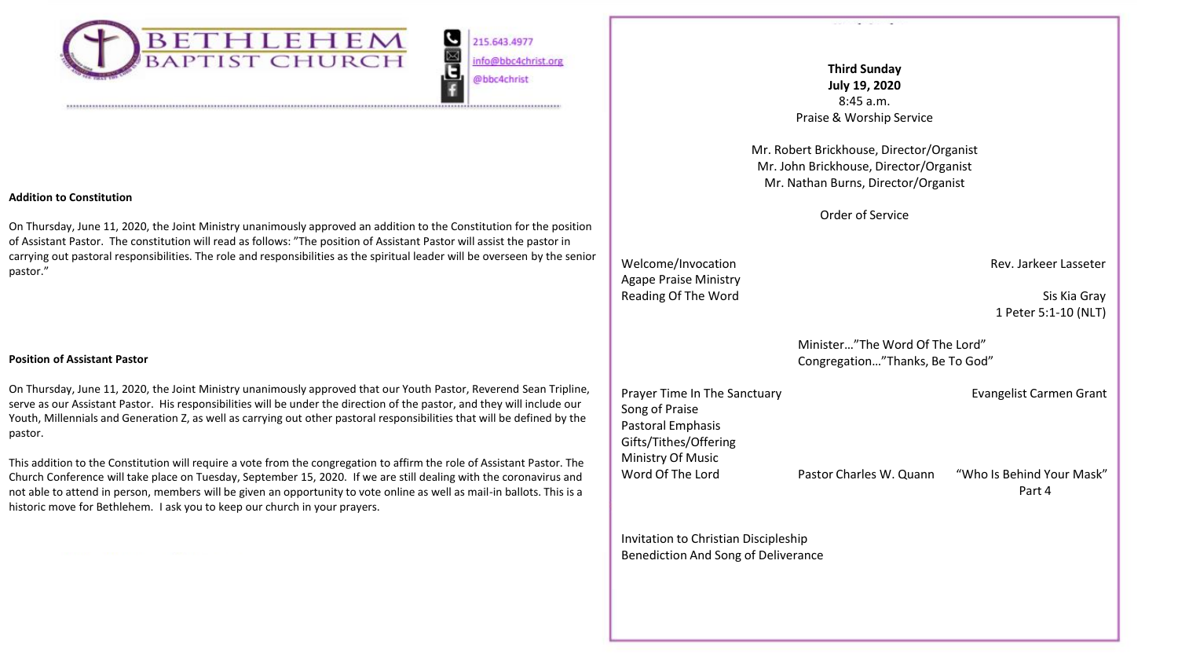

**G**<br>Bu 215.643.4977 info@bbc4christ.org @bbc4christ

# **Addition to Constitution**

On Thursday, June 11, 2020, the Joint Ministry unanimously approved an addition to the Constitution for the position of Assistant Pastor. The constitution will read as follows: "The position of Assistant Pastor will assist the pastor in carrying out pastoral responsibilities. The role and responsibilities as the spiritual leader will be overseen by the senior pastor."

#### **Position of Assistant Pastor**

On Thursday, June 11, 2020, the Joint Ministry unanimously approved that our Youth Pastor, Reverend Sean Tripline, serve as our Assistant Pastor. His responsibilities will be under the direction of the pastor, and they will include our Youth, Millennials and Generation Z, as well as carrying out other pastoral responsibilities that will be defined by the pastor.

This addition to the Constitution will require a vote from the congregation to affirm the role of Assistant Pastor. The Church Conference will take place on Tuesday, September 15, 2020. If we are still dealing with the coronavirus and not able to attend in person, members will be given an opportunity to vote online as well as mail-in ballots. This is a historic move for Bethlehem. I ask you to keep our church in your prayers.

**Third Sunday July 19, 2020**  8:45 a.m. Praise & Worship Service

Mr. Robert Brickhouse, Director/Organist Mr. John Brickhouse, Director/Organist Mr. Nathan Burns, Director/Organist

Order of Service

Welcome/Invocation **Rev. Jarkeer Lasseter** Rev. Jarkeer Lasseter Agape Praise Ministry Reading Of The Word Sistem Sis Kia Gray

1 Peter 5:1-10 (NLT)

Minister…"The Word Of The Lord" Congregation…"Thanks, Be To God"

| Prayer Time In The Sanctuary |                         | Evangelist Carmen Grant             |
|------------------------------|-------------------------|-------------------------------------|
| Song of Praise               |                         |                                     |
| Pastoral Emphasis            |                         |                                     |
| Gifts/Tithes/Offering        |                         |                                     |
| Ministry Of Music            |                         |                                     |
| Word Of The Lord             | Pastor Charles W. Quann | "Who Is Behind Your Mask"<br>Part 4 |

Invitation to Christian Discipleship Benediction And Song of Deliverance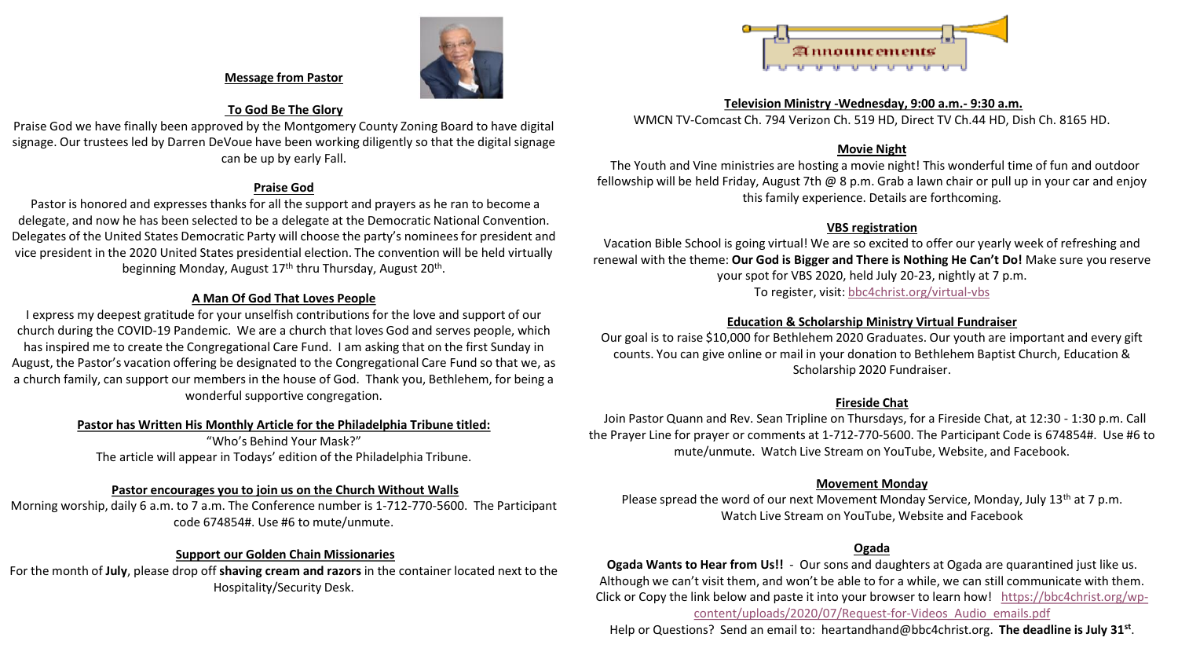

#### **Message from Pastor**

## **To God Be The Glory**

Praise God we have finally been approved by the Montgomery County Zoning Board to have digital signage. Our trustees led by Darren DeVoue have been working diligently so that the digital signage can be up by early Fall.

#### **Praise God**

Pastor is honored and expresses thanks for all the support and prayers as he ran to become a delegate, and now he has been selected to be a delegate at the Democratic National Convention. Delegates of the United States Democratic Party will choose the party's nominees for president and vice president in the 2020 United States presidential election. The convention will be held virtually beginning Monday, August 17<sup>th</sup> thru Thursday, August 20<sup>th</sup>.

# **A Man Of God That Loves People**

I express my deepest gratitude for your unselfish contributions for the love and support of our church during the COVID-19 Pandemic. We are a church that loves God and serves people, which has inspired me to create the Congregational Care Fund. I am asking that on the first Sunday in August, the Pastor's vacation offering be designated to the Congregational Care Fund so that we, as a church family, can support our members in the house of God. Thank you, Bethlehem, for being a wonderful supportive congregation.

#### **Pastor has Written His Monthly Article for the Philadelphia Tribune titled:**

"Who's Behind Your Mask?" The article will appear in Todays' edition of the Philadelphia Tribune.

## **Pastor encourages you to join us on the Church Without Walls**

Morning worship, daily 6 a.m. to 7 a.m. The Conference number is 1-712-770-5600. The Participant code 674854#. Use #6 to mute/unmute.

# **Support our Golden Chain Missionaries**

For the month of **July**, please drop off **shaving cream and razors** in the container located next to the Hospitality/Security Desk.



#### **Television Ministry -Wednesday, 9:00 a.m.- 9:30 a.m.**

WMCN TV-Comcast Ch. 794 Verizon Ch. 519 HD, Direct TV Ch.44 HD, Dish Ch. 8165 HD.

# **Movie Night**

The Youth and Vine ministries are hosting a movie night! This wonderful time of fun and outdoor fellowship will be held Friday, August 7th @ 8 p.m. Grab a lawn chair or pull up in your car and enjoy this family experience. Details are forthcoming.

# **VBS registration**

Vacation Bible School is going virtual! We are so excited to offer our yearly week of refreshing and renewal with the theme: **Our God is Bigger and There is Nothing He Can't Do!** Make sure you reserve your spot for VBS 2020, held July 20-23, nightly at 7 p.m. To register, visit: [bbc4christ.org/virtual-vbs](http://www.bbc4christ.org/virtual-vbs)

# **Education & Scholarship Ministry Virtual Fundraiser**

Our goal is to raise \$10,000 for Bethlehem 2020 Graduates. Our youth are important and every gift counts. You can give online or mail in your donation to Bethlehem Baptist Church, Education & Scholarship 2020 Fundraiser.

# **Fireside Chat**

Join Pastor Quann and Rev. Sean Tripline on Thursdays, for a Fireside Chat, at 12:30 - 1:30 p.m. Call the Prayer Line for prayer or comments at 1-712-770-5600. The Participant Code is 674854#. Use #6 to mute/unmute. Watch Live Stream on YouTube, Website, and Facebook.

# **Movement Monday**

Please spread the word of our next Movement Monday Service, Monday, July 13<sup>th</sup> at 7 p.m. Watch Live Stream on YouTube, Website and Facebook

# **Ogada**

**Ogada Wants to Hear from Us!!** - Our sons and daughters at Ogada are quarantined just like us. Although we can't visit them, and won't be able to for a while, we can still communicate with them. Click or Copy the l[ink below and paste it into your browser to learn how! https://bbc4christ.org/wp](https://bbc4christ.org/wp-content/uploads/2020/07/Request-for-Videos_Audio_emails.pdf)content/uploads/2020/07/Request-for-Videos\_Audio\_emails.pdf

Help or Questions? Send an email to: heartandhand@bbc4christ.org. **The deadline is July 31st** .